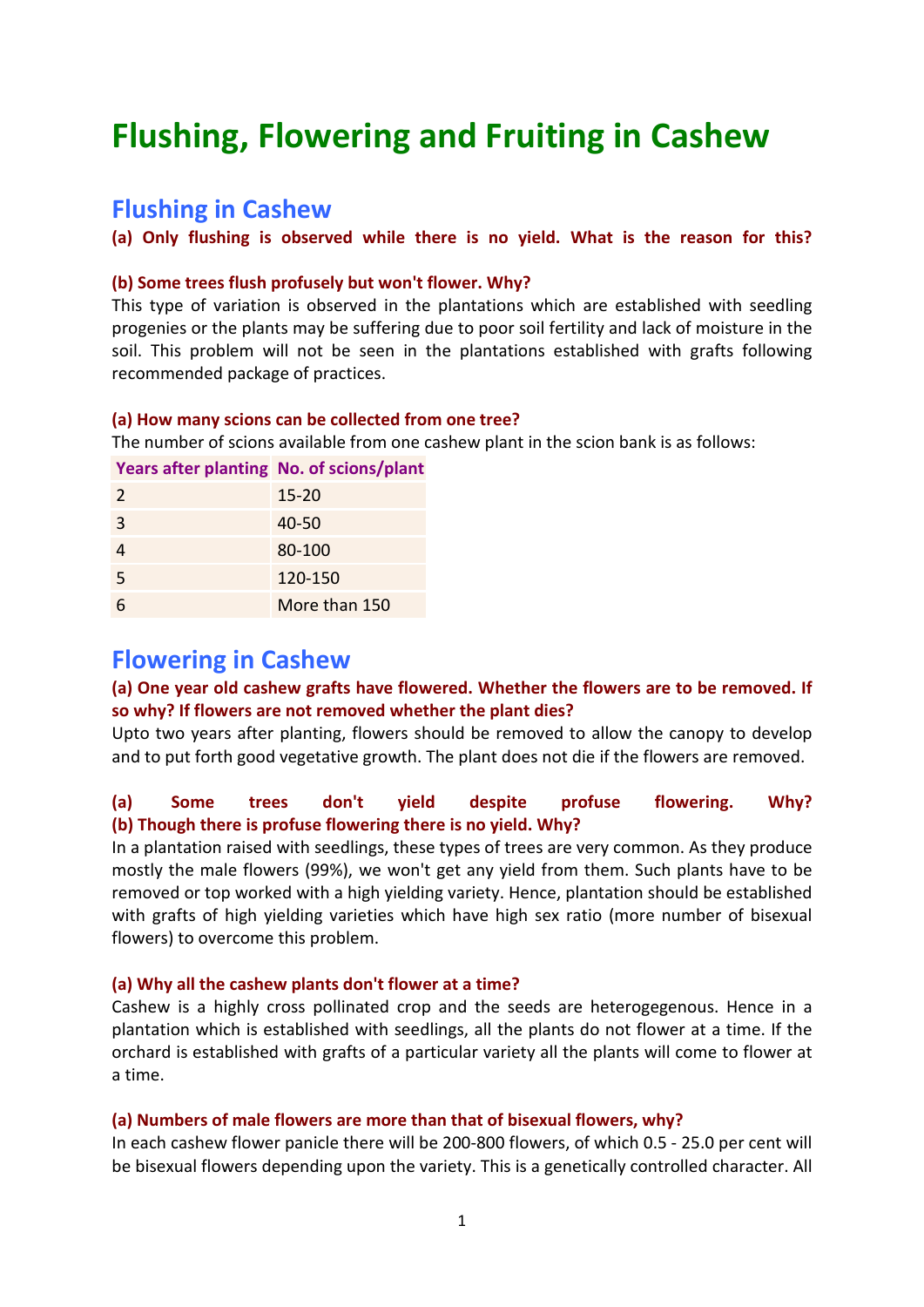# **Flushing, Flowering and Fruiting in Cashew**

# **Flushing in Cashew**

**(a) Only flushing is observed while there is no yield. What is the reason for this?**

#### **(b) Some trees flush profusely but won't flower. Why?**

This type of variation is observed in the plantations which are established with seedling progenies or the plants may be suffering due to poor soil fertility and lack of moisture in the soil. This problem will not be seen in the plantations established with grafts following recommended package of practices.

#### **(a) How many scions can be collected from one tree?**

The number of scions available from one cashew plant in the scion bank is as follows:

#### **Years after planting No. of scions/plant**

| $\overline{2}$ | $15 - 20$     |
|----------------|---------------|
| 3              | 40-50         |
|                | 80-100        |
| 5              | 120-150       |
| 6              | More than 150 |

## **Flowering in Cashew**

#### **(a) One year old cashew grafts have flowered. Whether the flowers are to be removed. If so why? If flowers are not removed whether the plant dies?**

Upto two years after planting, flowers should be removed to allow the canopy to develop and to put forth good vegetative growth. The plant does not die if the flowers are removed.

## **(a) Some trees don't yield despite profuse flowering. Why? (b) Though there is profuse flowering there is no yield. Why?**

In a plantation raised with seedlings, these types of trees are very common. As they produce mostly the male flowers (99%), we won't get any yield from them. Such plants have to be removed or top worked with a high yielding variety. Hence, plantation should be established with grafts of high yielding varieties which have high sex ratio (more number of bisexual flowers) to overcome this problem.

#### **(a) Why all the cashew plants don't flower at a time?**

Cashew is a highly cross pollinated crop and the seeds are heterogegenous. Hence in a plantation which is established with seedlings, all the plants do not flower at a time. If the orchard is established with grafts of a particular variety all the plants will come to flower at a time.

#### **(a) Numbers of male flowers are more than that of bisexual flowers, why?**

In each cashew flower panicle there will be 200-800 flowers, of which 0.5 - 25.0 per cent will be bisexual flowers depending upon the variety. This is a genetically controlled character. All